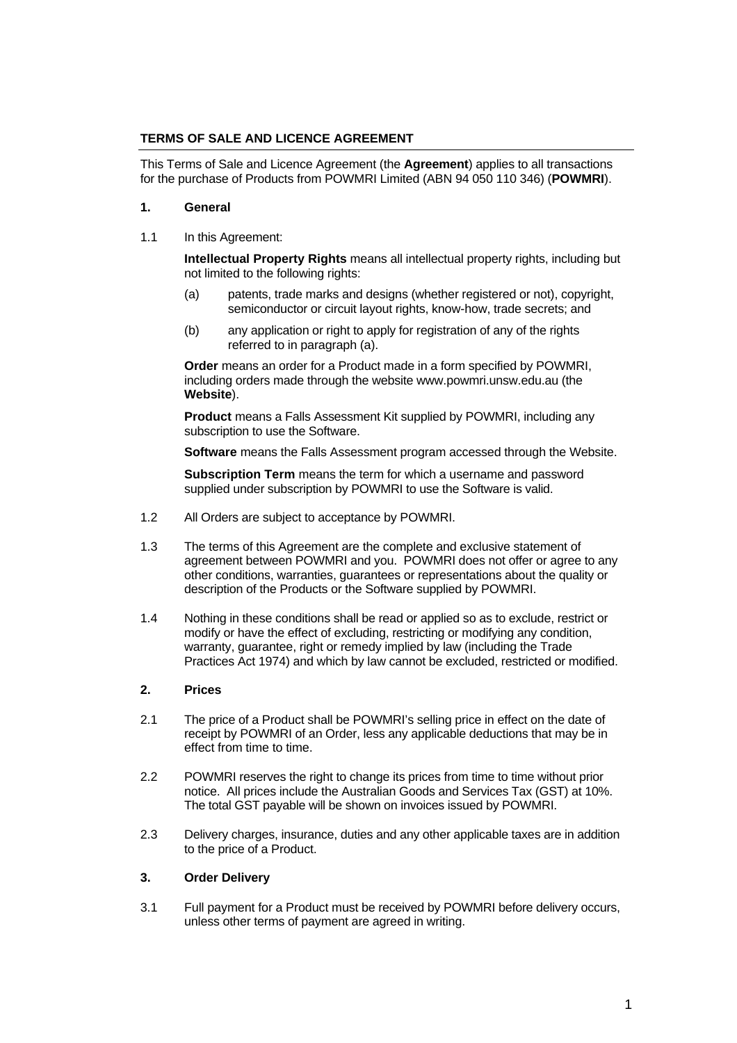### **TERMS OF SALE AND LICENCE AGREEMENT**

This Terms of Sale and Licence Agreement (the **Agreement**) applies to all transactions for the purchase of Products from POWMRI Limited (ABN 94 050 110 346) (**POWMRI**).

### **1. General**

1.1 In this Agreement:

**Intellectual Property Rights** means all intellectual property rights, including but not limited to the following rights:

- (a) patents, trade marks and designs (whether registered or not), copyright, semiconductor or circuit layout rights, know-how, trade secrets; and
- (b) any application or right to apply for registration of any of the rights referred to in paragraph (a).

**Order** means an order for a Product made in a form specified by POWMRI, including orders made through the website www.powmri.unsw.edu.au (the **Website**).

**Product** means a Falls Assessment Kit supplied by POWMRI, including any subscription to use the Software.

**Software** means the Falls Assessment program accessed through the Website.

**Subscription Term** means the term for which a username and password supplied under subscription by POWMRI to use the Software is valid.

- 1.2 All Orders are subject to acceptance by POWMRI.
- 1.3 The terms of this Agreement are the complete and exclusive statement of agreement between POWMRI and you. POWMRI does not offer or agree to any other conditions, warranties, guarantees or representations about the quality or description of the Products or the Software supplied by POWMRI.
- 1.4 Nothing in these conditions shall be read or applied so as to exclude, restrict or modify or have the effect of excluding, restricting or modifying any condition, warranty, quarantee, right or remedy implied by law (including the Trade Practices Act 1974) and which by law cannot be excluded, restricted or modified.

### **2. Prices**

- 2.1 The price of a Product shall be POWMRI's selling price in effect on the date of receipt by POWMRI of an Order, less any applicable deductions that may be in effect from time to time.
- 2.2 POWMRI reserves the right to change its prices from time to time without prior notice. All prices include the Australian Goods and Services Tax (GST) at 10%. The total GST payable will be shown on invoices issued by POWMRI.
- 2.3 Delivery charges, insurance, duties and any other applicable taxes are in addition to the price of a Product.

# **3. Order Delivery**

3.1 Full payment for a Product must be received by POWMRI before delivery occurs, unless other terms of payment are agreed in writing.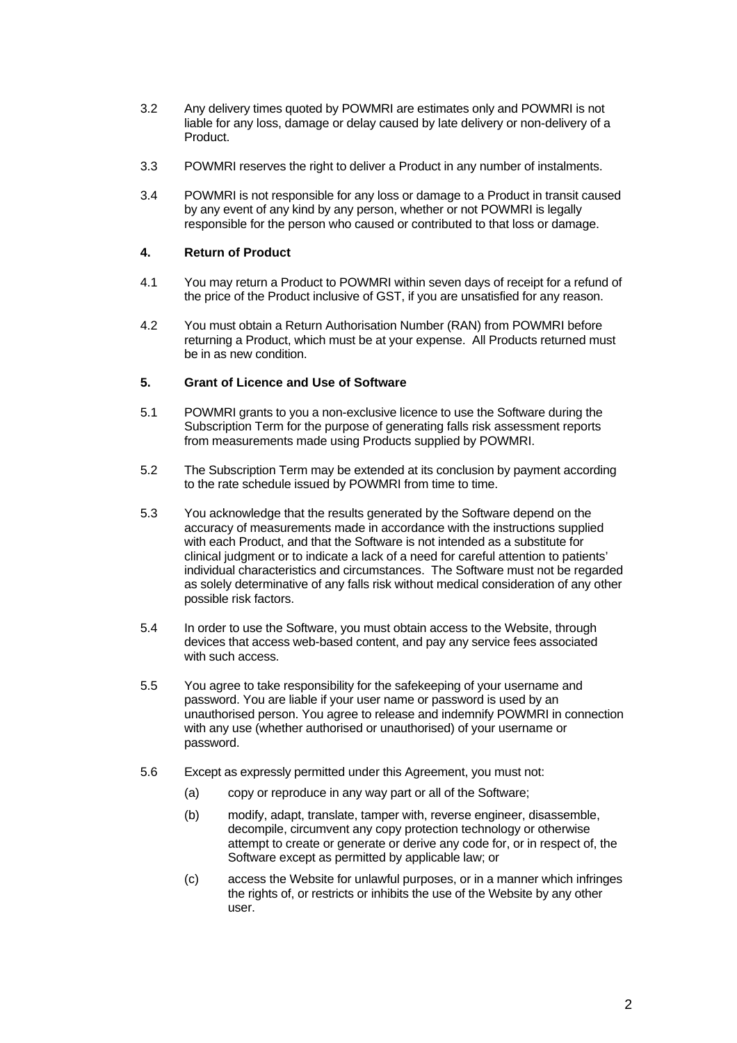- 3.2 Any delivery times quoted by POWMRI are estimates only and POWMRI is not liable for any loss, damage or delay caused by late delivery or non-delivery of a Product.
- 3.3 POWMRI reserves the right to deliver a Product in any number of instalments.
- 3.4 POWMRI is not responsible for any loss or damage to a Product in transit caused by any event of any kind by any person, whether or not POWMRI is legally responsible for the person who caused or contributed to that loss or damage.

### **4. Return of Product**

- 4.1 You may return a Product to POWMRI within seven days of receipt for a refund of the price of the Product inclusive of GST, if you are unsatisfied for any reason.
- 4.2 You must obtain a Return Authorisation Number (RAN) from POWMRI before returning a Product, which must be at your expense. All Products returned must be in as new condition.

### **5. Grant of Licence and Use of Software**

- 5.1 POWMRI grants to you a non-exclusive licence to use the Software during the Subscription Term for the purpose of generating falls risk assessment reports from measurements made using Products supplied by POWMRI.
- 5.2 The Subscription Term may be extended at its conclusion by payment according to the rate schedule issued by POWMRI from time to time.
- 5.3 You acknowledge that the results generated by the Software depend on the accuracy of measurements made in accordance with the instructions supplied with each Product, and that the Software is not intended as a substitute for clinical judgment or to indicate a lack of a need for careful attention to patients' individual characteristics and circumstances. The Software must not be regarded as solely determinative of any falls risk without medical consideration of any other possible risk factors.
- 5.4 In order to use the Software, you must obtain access to the Website, through devices that access web-based content, and pay any service fees associated with such access.
- 5.5 You agree to take responsibility for the safekeeping of your username and password. You are liable if your user name or password is used by an unauthorised person. You agree to release and indemnify POWMRI in connection with any use (whether authorised or unauthorised) of your username or password.
- 5.6 Except as expressly permitted under this Agreement, you must not:
	- (a) copy or reproduce in any way part or all of the Software;
	- (b) modify, adapt, translate, tamper with, reverse engineer, disassemble, decompile, circumvent any copy protection technology or otherwise attempt to create or generate or derive any code for, or in respect of, the Software except as permitted by applicable law; or
	- (c) access the Website for unlawful purposes, or in a manner which infringes the rights of, or restricts or inhibits the use of the Website by any other user.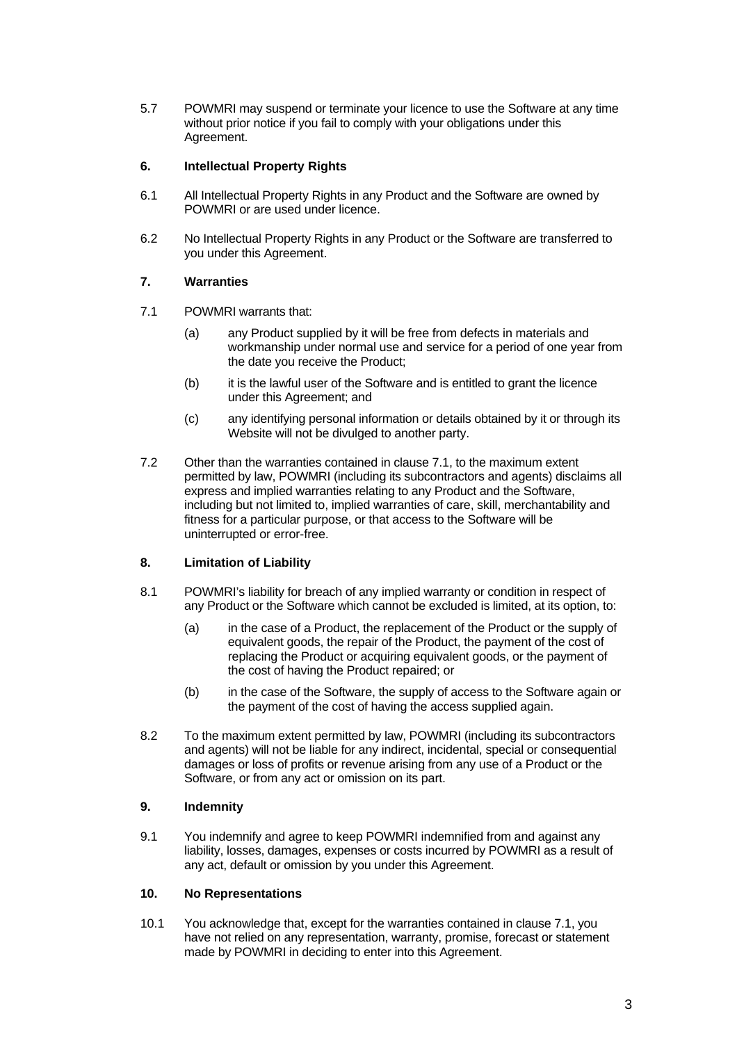5.7 POWMRI may suspend or terminate your licence to use the Software at any time without prior notice if you fail to comply with your obligations under this Agreement.

### **6. Intellectual Property Rights**

- 6.1 All Intellectual Property Rights in any Product and the Software are owned by POWMRI or are used under licence.
- 6.2 No Intellectual Property Rights in any Product or the Software are transferred to you under this Agreement.

### **7. Warranties**

- 7.1 POWMRI warrants that:
	- (a) any Product supplied by it will be free from defects in materials and workmanship under normal use and service for a period of one year from the date you receive the Product;
	- (b) it is the lawful user of the Software and is entitled to grant the licence under this Agreement; and
	- (c) any identifying personal information or details obtained by it or through its Website will not be divulged to another party.
- 7.2 Other than the warranties contained in clause 7.1, to the maximum extent permitted by law, POWMRI (including its subcontractors and agents) disclaims all express and implied warranties relating to any Product and the Software, including but not limited to, implied warranties of care, skill, merchantability and fitness for a particular purpose, or that access to the Software will be uninterrupted or error-free.

### **8. Limitation of Liability**

- 8.1 POWMRI's liability for breach of any implied warranty or condition in respect of any Product or the Software which cannot be excluded is limited, at its option, to:
	- (a) in the case of a Product, the replacement of the Product or the supply of equivalent goods, the repair of the Product, the payment of the cost of replacing the Product or acquiring equivalent goods, or the payment of the cost of having the Product repaired; or
	- (b) in the case of the Software, the supply of access to the Software again or the payment of the cost of having the access supplied again.
- 8.2 To the maximum extent permitted by law, POWMRI (including its subcontractors and agents) will not be liable for any indirect, incidental, special or consequential damages or loss of profits or revenue arising from any use of a Product or the Software, or from any act or omission on its part.

### **9. Indemnity**

9.1 You indemnify and agree to keep POWMRI indemnified from and against any liability, losses, damages, expenses or costs incurred by POWMRI as a result of any act, default or omission by you under this Agreement.

### **10. No Representations**

10.1 You acknowledge that, except for the warranties contained in clause 7.1, you have not relied on any representation, warranty, promise, forecast or statement made by POWMRI in deciding to enter into this Agreement.